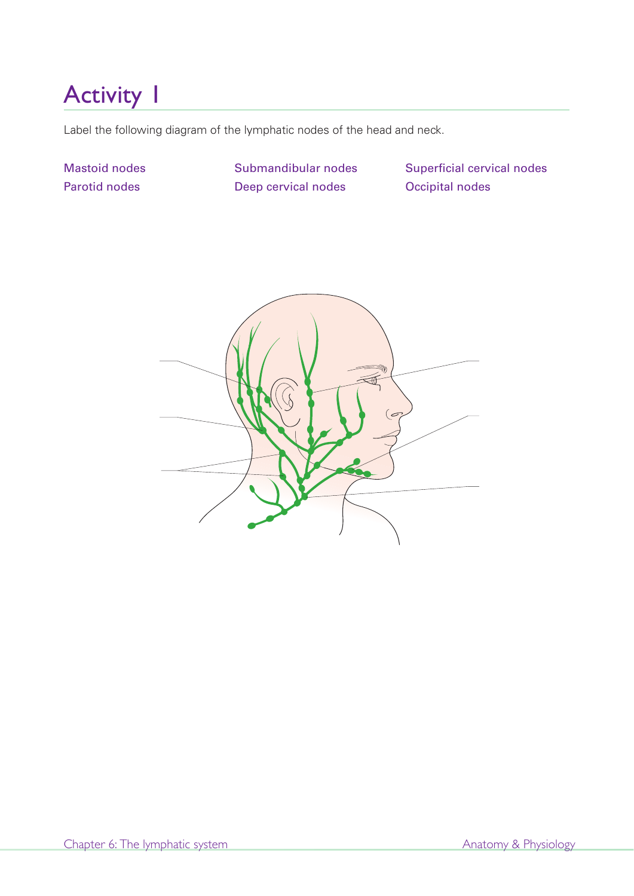Label the following diagram of the lymphatic nodes of the head and neck.

Mastoid nodes Parotid nodes

Submandibular nodes Deep cervical nodes

Superficial cervical nodes Occipital nodes

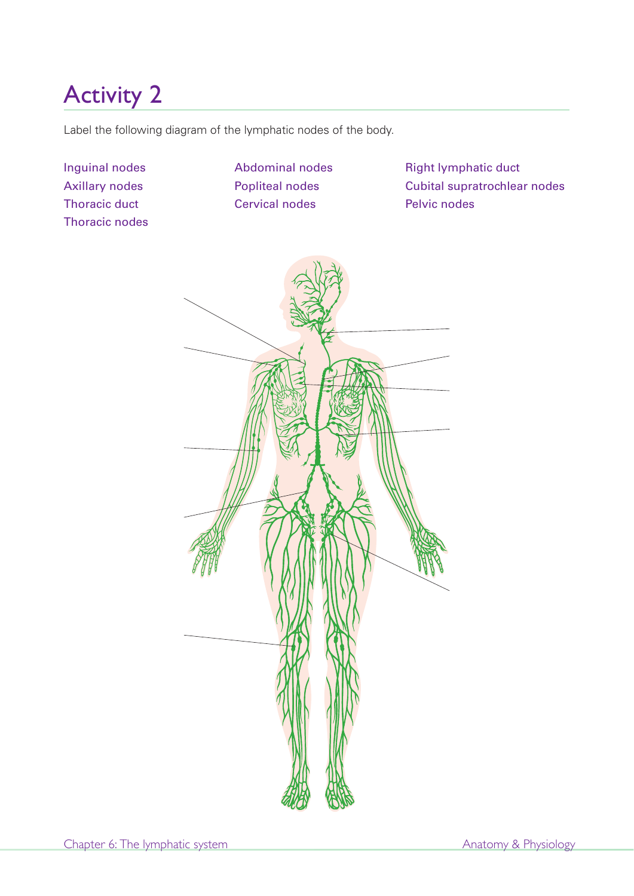Label the following diagram of the lymphatic nodes of the body.

Inguinal nodes Axillary nodes Thoracic duct Thoracic nodes Abdominal nodes Popliteal nodes Cervical nodes

Right lymphatic duct Cubital supratrochlear nodes Pelvic nodes

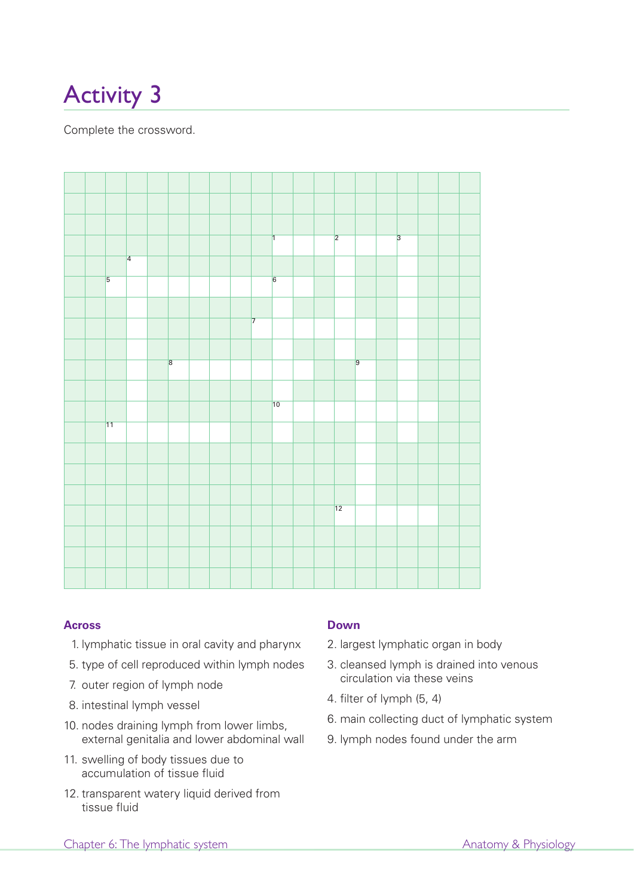Complete the crossword.



#### **Across**

- 1. lymphatic tissue in oral cavity and pharynx
- 5. type of cell reproduced within lymph nodes
- 7. outer region of lymph node
- 8. intestinal lymph vessel
- 10. nodes draining lymph from lower limbs, external genitalia and lower abdominal wall
- 11. swelling of body tissues due to accumulation of tissue fluid
- 12. transparent watery liquid derived from tissue fluid

### **Down**

- 2. largest lymphatic organ in body
- 3. cleansed lymph is drained into venous circulation via these veins
- 4. filter of lymph (5, 4)
- 6. main collecting duct of lymphatic system
- 9. lymph nodes found under the arm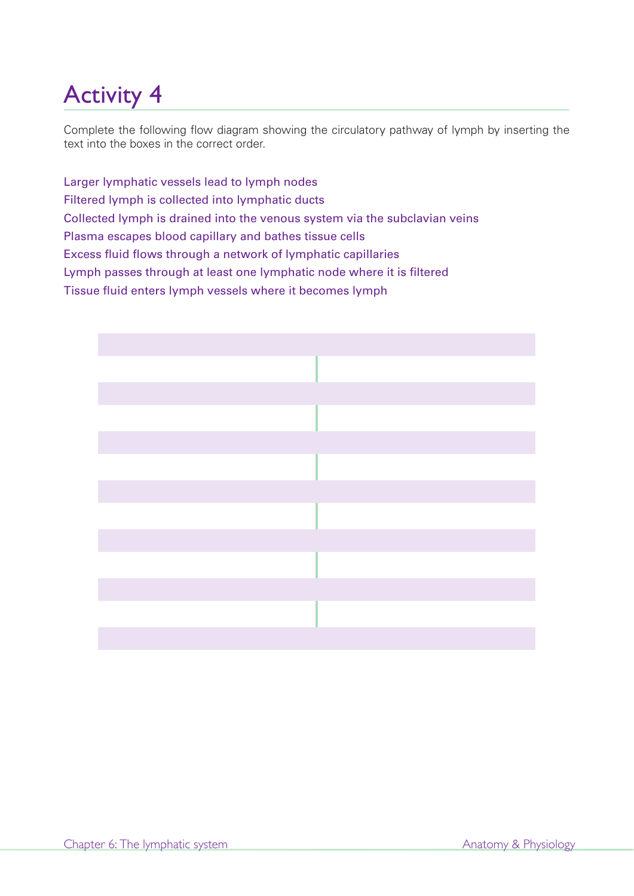Complete the following flow diagram showing the circulatory pathway of lymph by inserting the text into the boxes in the correct order.

Larger lymphatic vessels lead to lymph nodes Filtered lymph is collected into lymphatic ducts Collected lymph is drained into the venous system via the subclavian veins Plasma escapes blood capillary and bathes tissue cells Excess fluid flows through a network of lymphatic capillaries Lymph passes through at least one lymphatic node where it is filtered Tissue fluid enters lymph vessels where it becomes lymph

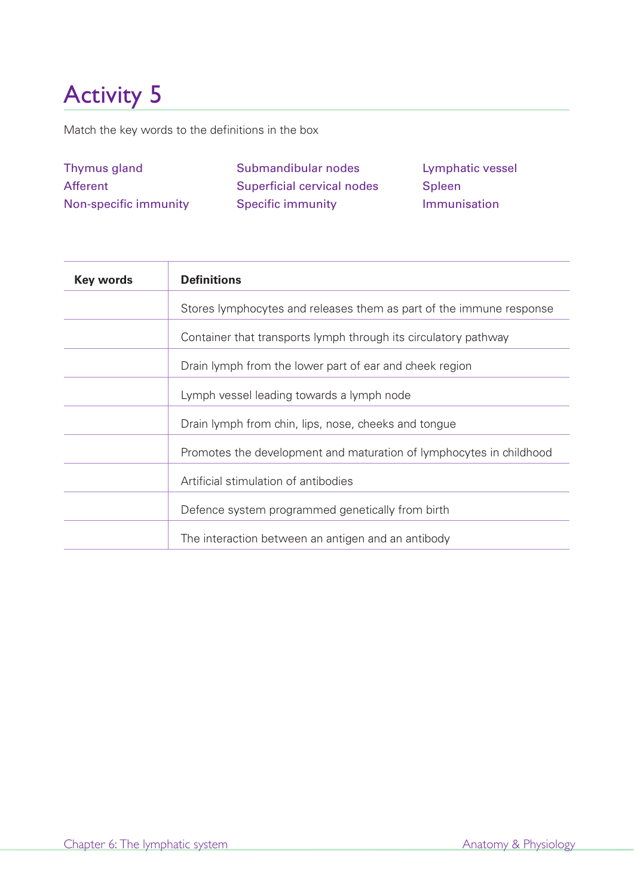Match the key words to the definitions in the box

| Thymus gland          | Submandibular nodes        | Lymphatic vessel |
|-----------------------|----------------------------|------------------|
| Afferent              | Superficial cervical nodes | Spleen           |
| Non-specific immunity | <b>Specific immunity</b>   | Immunisation     |

| <b>Key words</b> | <b>Definitions</b>                                                  |
|------------------|---------------------------------------------------------------------|
|                  | Stores lymphocytes and releases them as part of the immune response |
|                  | Container that transports lymph through its circulatory pathway     |
|                  | Drain lymph from the lower part of ear and cheek region             |
|                  | Lymph vessel leading towards a lymph node                           |
|                  | Drain lymph from chin, lips, nose, cheeks and tongue                |
|                  | Promotes the development and maturation of lymphocytes in childhood |
|                  | Artificial stimulation of antibodies                                |
|                  | Defence system programmed genetically from birth                    |
|                  | The interaction between an antigen and an antibody                  |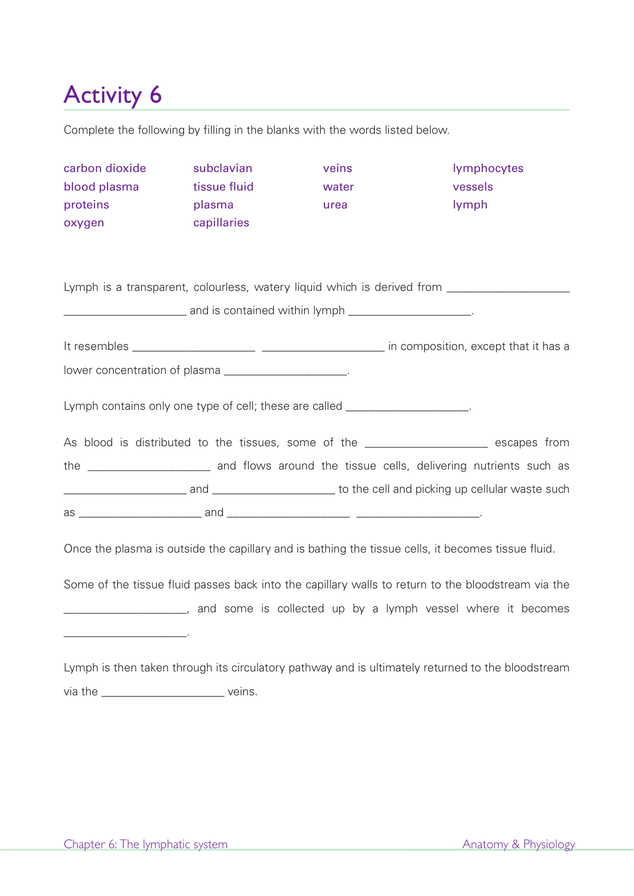Complete the following by filling in the blanks with the words listed below.

| carbon dioxide                                                                                       | subclavian   | veins                                                                                       | lymphocytes |  |  |
|------------------------------------------------------------------------------------------------------|--------------|---------------------------------------------------------------------------------------------|-------------|--|--|
| blood plasma                                                                                         | tissue fluid | water                                                                                       | vessels     |  |  |
| proteins                                                                                             | plasma       | urea                                                                                        | lymph       |  |  |
| oxygen                                                                                               | capillaries  |                                                                                             |             |  |  |
|                                                                                                      |              |                                                                                             |             |  |  |
| Lymph is a transparent, colourless, watery liquid which is derived from ____________________________ |              |                                                                                             |             |  |  |
| <b>_______________________</b> and is contained within lymph ________________________.               |              |                                                                                             |             |  |  |
|                                                                                                      |              |                                                                                             |             |  |  |
| lower concentration of plasma ______________________.                                                |              |                                                                                             |             |  |  |
| Lymph contains only one type of cell; these are called ____________________.                         |              |                                                                                             |             |  |  |
|                                                                                                      |              | As blood is distributed to the tissues, some of the ___________________ escapes from        |             |  |  |
|                                                                                                      |              | the _______________________ and flows around the tissue cells, delivering nutrients such as |             |  |  |
|                                                                                                      |              |                                                                                             |             |  |  |
|                                                                                                      |              |                                                                                             |             |  |  |
| Once the plasma is outside the capillary and is bathing the tissue cells, it becomes tissue fluid.   |              |                                                                                             |             |  |  |
| Some of the tissue fluid passes back into the capillary walls to return to the bloodstream via the   |              |                                                                                             |             |  |  |
| _______________________, and some is collected up by a lymph vessel where it becomes                 |              |                                                                                             |             |  |  |
|                                                                                                      |              |                                                                                             |             |  |  |

Lymph is then taken through its circulatory pathway and is ultimately returned to the bloodstream via the \_\_\_\_\_\_\_\_\_\_\_\_\_\_\_\_\_\_\_\_\_\_\_\_\_\_\_\_ veins.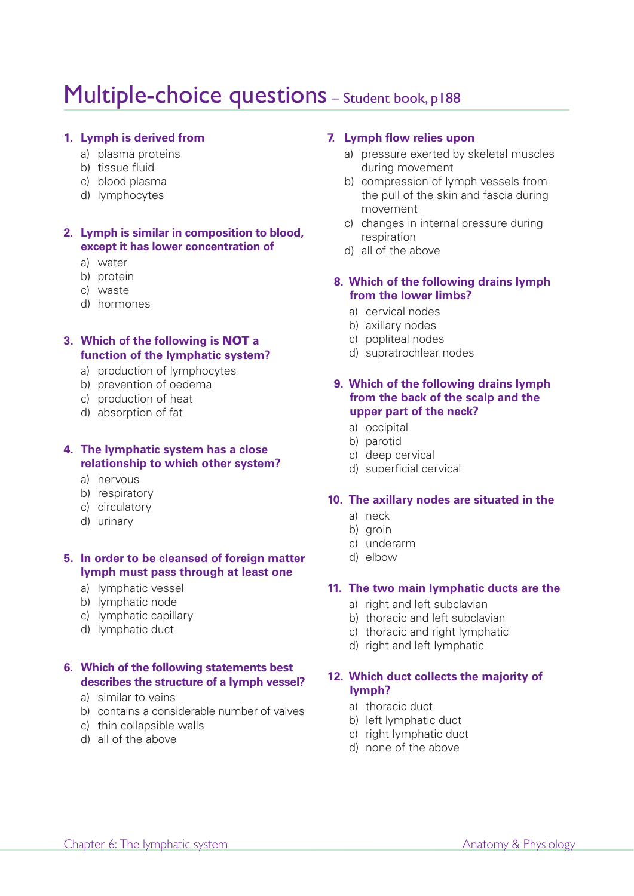## Multiple-choice questions - Student book, p188

#### **1. Lymph is derived from**

- a) plasma proteins
- b) tissue fluid
- c) blood plasma
- d) lymphocytes

#### **2. Lymph is similar in composition to blood, except it has lower concentration of**

- a) water
- b) protein
- c) waste
- d) hormones

#### **3. Which of the following is NOT a function of the lymphatic system?**

- a) production of lymphocytes
- b) prevention of oedema
- c) production of heat
- d) absorption of fat

### **4. The lymphatic system has a close relationship to which other system?**

- a) nervous
- b) respiratory
- c) circulatory
- d) urinary

#### **5. In order to be cleansed of foreign matter lymph must pass through at least one**

- a) lymphatic vessel
- b) lymphatic node
- c) lymphatic capillary
- d) lymphatic duct

#### **6. Which of the following statements best describes the structure of a lymph vessel?**

- a) similar to veins
- b) contains a considerable number of valves
- c) thin collapsible walls
- d) all of the above

#### **7. Lymph flow relies upon**

- a) pressure exerted by skeletal muscles during movement
- b) compression of lymph vessels from the pull of the skin and fascia during movement
- c) changes in internal pressure during respiration
- d) all of the above

#### **8. Which of the following drains lymph from the lower limbs?**

- a) cervical nodes
- b) axillary nodes
- c) popliteal nodes
- d) supratrochlear nodes

#### **9. Which of the following drains lymph from the back of the scalp and the upper part of the neck?**

- a) occipital
- b) parotid
- c) deep cervical
- d) superficial cervical

#### **10. The axillary nodes are situated in the**

- a) neck
- b) groin
- c) underarm
- d) elbow

#### **11. The two main lymphatic ducts are the**

- a) right and left subclavian
- b) thoracic and left subclavian
- c) thoracic and right lymphatic
- d) right and left lymphatic

#### **12. Which duct collects the majority of lymph?**

- a) thoracic duct
- b) left lymphatic duct
- c) right lymphatic duct
- d) none of the above